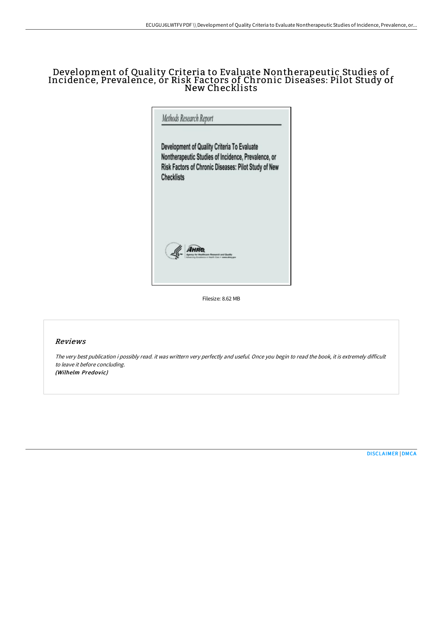# Development of Quality Criteria to Evaluate Nontherapeutic Studies of Incidence, Prevalence, or Risk Factors of Chronic Diseases: Pilot Study of New Checklists

|                   | Development of Quality Criteria To Evaluate          |
|-------------------|------------------------------------------------------|
|                   | Nontherapeutic Studies of Incidence, Prevalence, or  |
|                   | Risk Factors of Chronic Diseases: Pilot Study of New |
| <b>Checklists</b> |                                                      |
|                   |                                                      |
|                   |                                                      |
|                   |                                                      |
|                   |                                                      |
|                   |                                                      |

Filesize: 8.62 MB

# Reviews

The very best publication i possibly read. it was writtern very perfectly and useful. Once you begin to read the book, it is extremely difficult to leave it before concluding. (Wilhelm Predovic)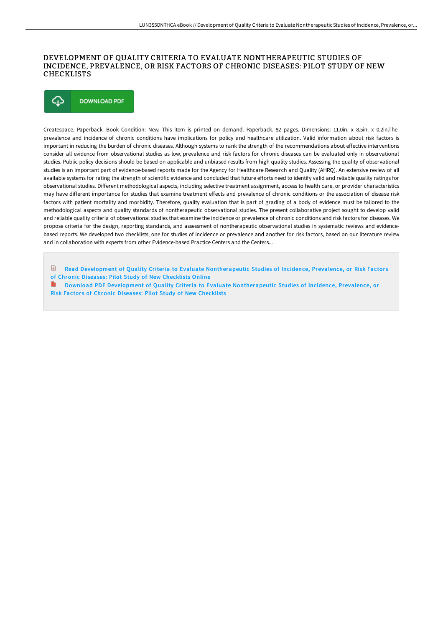### DEVELOPMENT OF QUALITY CRITERIA TO EVALUATE NONTHERAPEUTIC STUDIES OF INCIDENCE, PREVALENCE, OR RISK FACTORS OF CHRONIC DISEASES: PILOT STUDY OF NEW CHECKLISTS



Createspace. Paperback. Book Condition: New. This item is printed on demand. Paperback. 82 pages. Dimensions: 11.0in. x 8.5in. x 0.2in.The prevalence and incidence of chronic conditions have implications for policy and healthcare utilization. Valid information about risk factors is important in reducing the burden of chronic diseases. Although systems to rank the strength of the recommendations about effective interventions consider all evidence from observational studies as low, prevalence and risk factors for chronic diseases can be evaluated only in observational studies. Public policy decisions should be based on applicable and unbiased results from high quality studies. Assessing the quality of observational studies is an important part of evidence-based reports made for the Agency for Healthcare Research and Quality (AHRQ). An extensive review of all available systems for rating the strength of scientific evidence and concluded that future efforts need to identify valid and reliable quality ratings for observational studies. Different methodological aspects, including selective treatment assignment, access to health care, or provider characteristics may have different importance for studies that examine treatment effects and prevalence of chronic conditions or the association of disease risk factors with patient mortality and morbidity. Therefore, quality evaluation that is part of grading of a body of evidence must be tailored to the methodological aspects and quality standards of nontherapeutic observational studies. The present collaborative project sought to develop valid and reliable quality criteria of observational studies that examine the incidence or prevalence of chronic conditions and risk factors for diseases. We propose criteria for the design, reporting standards, and assessment of nontherapeutic observational studies in systematic reviews and evidencebased reports. We developed two checklists, one for studies of incidence or prevalence and another for risk factors, based on our literature review and in collaboration with experts from other Evidence-based Practice Centers and the Centers...

 $\mathbb{R}$ Read Development of Quality Criteria to Evaluate [Nontherapeutic](http://techno-pub.tech/development-of-quality-criteria-to-evaluate-nont.html) Studies of Incidence, Prevalence, or Risk Factors of Chronic Diseases: Pilot Study of New Checklists Online

Download PDF Development of Quality Criteria to Evaluate [Nontherapeutic](http://techno-pub.tech/development-of-quality-criteria-to-evaluate-nont.html) Studies of Incidence, Prevalence, or Risk Factors of Chronic Diseases: Pilot Study of New Checklists